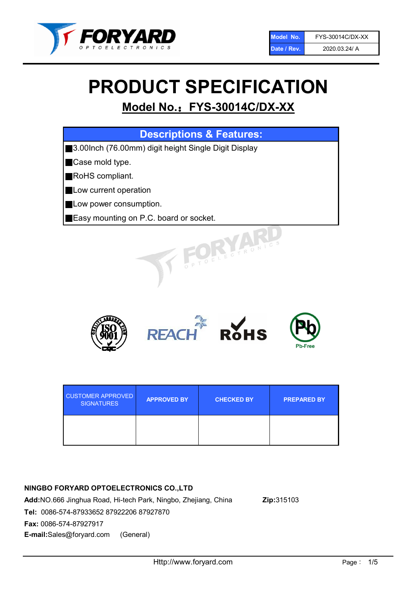

# PRODUCT SPECIFICATION

# Model No.: FYS-30014C/DX-XX

| <b>Descriptions &amp; Features:</b>                  |
|------------------------------------------------------|
| 3.00lnch (76.00mm) digit height Single Digit Display |
| Case mold type.                                      |
| RoHS compliant.                                      |
| Low current operation                                |
| Low power consumption.                               |
| <b>Easy mounting on P.C. board or socket.</b>        |
| TOELECTRONIC.                                        |



| <b>CUSTOMER APPROVED</b><br><b>SIGNATURES</b> | <b>APPROVED BY</b> | <b>CHECKED BY</b> | <b>PREPARED BY</b> |
|-----------------------------------------------|--------------------|-------------------|--------------------|
|                                               |                    |                   |                    |

# NINGBO FORYARD OPTOELECTRONICS CO.,LTD

Add:NO.666 Jinghua Road, Hi-tech Park, Ningbo, Zhejiang, China Zip:315103 Tel: 0086-574-87933652 87922206 87927870 Fax: 0086-574-87927917 E-mail:Sales@foryard.com (General)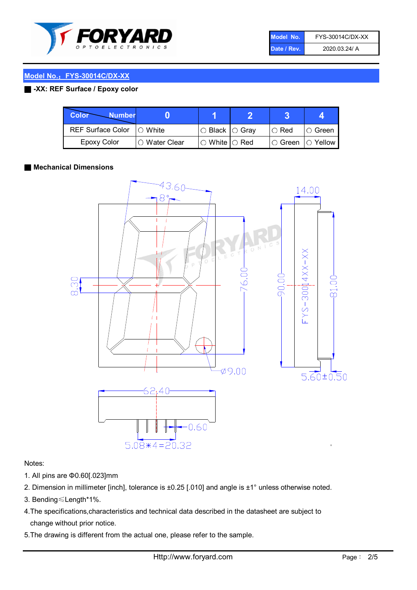

| Model No.   | FYS-30014C/DX-XX |
|-------------|------------------|
| Date / Rev. | 2020.03.24/ A    |

# Model No.: FYS-30014C/DX-XX

# ■ -XX: REF Surface / Epoxy color

| Color<br><b>Number</b>      |               |                           |               |                |
|-----------------------------|---------------|---------------------------|---------------|----------------|
| REF Surface Color   O White |               | ○ Black  ○ Gray           | $\circ$ Red   | $\circ$ Green  |
| Epoxy Color                 | ○ Water Clear | $\circ$ White $\circ$ Red | $\circ$ Green | $\circ$ Yellow |

#### ■ Mechanical Dimensions



#### Notes:

- 1. All pins are Φ0.60[.023]mm
- 2. Dimension in millimeter [inch], tolerance is ±0.25 [.010] and angle is ±1° unless otherwise noted.
- 3. Bending≤Length\*1%.
- 4.The specifications,characteristics and technical data described in the datasheet are subject to change without prior notice.
- 5.The drawing is different from the actual one, please refer to the sample.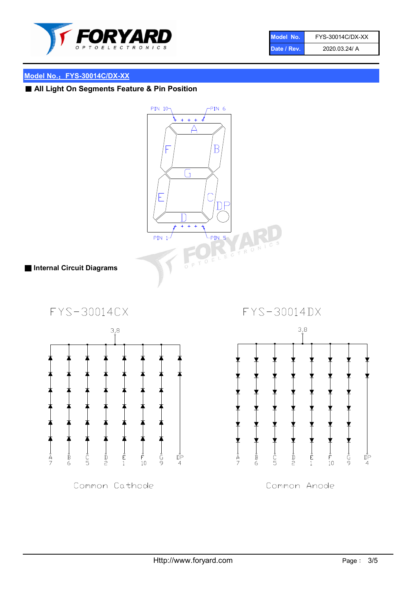

| Model No.   | FYS-30014C/DX-XX |
|-------------|------------------|
| Date / Rev. | 2020.03.24/ A    |

# Model No.: FYS-30014C/DX-XX

# ■ All Light On Segments Feature & Pin Position

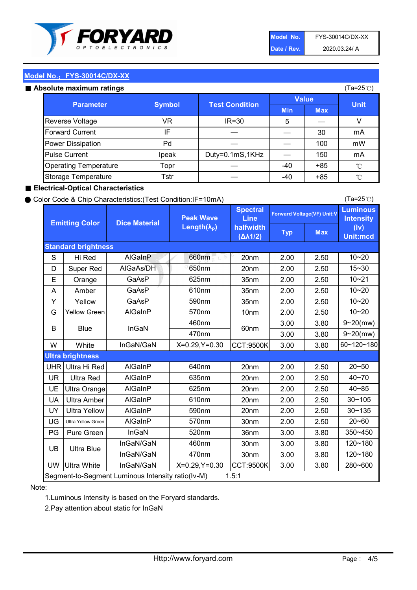

| Model No.   | FYS-30014C/DX-XX |
|-------------|------------------|
| Date / Rev. | 2020.03.24/ A    |

(Ta=25℃)

# Model No.: FYS-30014C/DX-XX

| Absolute maximum ratings |  |
|--------------------------|--|

| osolute maximum ratings      |               |                       |              | (Ta=25℃)   |              |
|------------------------------|---------------|-----------------------|--------------|------------|--------------|
| <b>Parameter</b>             | <b>Symbol</b> |                       | <b>Value</b> |            | <b>Unit</b>  |
|                              |               | <b>Test Condition</b> | <b>Min</b>   | <b>Max</b> |              |
| Reverse Voltage              | VR            | $IR = 30$             | 5            |            | V            |
| <b>Forward Current</b>       | IF            |                       |              | 30         | mA           |
| Power Dissipation            | Pd            |                       |              | 100        | mW           |
| <b>Pulse Current</b>         | Ipeak         | Duty=0.1mS,1KHz       |              | 150        | mA           |
| <b>Operating Temperature</b> | Topr          |                       | $-40$        | $+85$      | $^{\circ}$ C |
| Storage Temperature          | Tstr          |                       | $-40$        | $+85$      | $^{\circ}$ C |

#### ■ Electrical-Optical Characteristics

#### ● Color Code & Chip Characteristics:(Test Condition:IF=10mA)

Typ Max S | Hi $\textsf{Red}$  | AlGaInP | 660nm LE 20nm | 2.00 | 2.50 D | Super Red | AIGaAs/DH | 650nm | 20nm | 2.00 | 2.50 E | Orange | GaAsP | 625nm | 35nm | 2.00 | 2.50 A | Amber | GaAsP | 610nm | 35nm | 2.00 | 2.50 Y | Yellow | GaAsP | 590nm | 35nm | 2.00 | 2.50 G Yellow Green AIGaInP | 570nm | 10nm | 2.00 | 2.50 3.00 3.80 3.00 3.80 W | White | InGaN/GaN | X=0.29,Y=0.30 |CCT:9500K| 3.00 | 3.80 UHR Ultra Hi Red | AlGaInP | 640nm | 20nm | 2.00 | 2.50 UR | Ultra Red | AlGaInP | 635nm | 20nm | 2.00 | 2.50 UE Ultra Orange | AIGaInP | 625nm | 20nm | 2.00 | 2.50 UA Ultra Amber | AIGaInP | 610nm | 20nm | 2.00 | 2.50  $UV$  Ultra Yellow  $\vert$  AlGaInP  $\vert$  590nm  $\vert$  20nm  $\vert$  2.00  $\vert$  2.50  $\text{UG}$  Ultra Yellow Green | AIGaInP | 570nm | 30nm | 2.00 | 2.50 PG Pure Green | InGaN | 520nm | 36nm | 3.00 | 3.80 30nm 3.00 3.80 30nm 3.00 3.80 UW |Ultra White | InGaN/GaN | X=0.29,Y=0.30 |CCT:9500K| 3.00 | 3.80 40~85 60~120~180 40~70 Segment-to-Segment Luminous Intensity ratio(Iv-M) 1.5:1 610nm 9~20(mw) 350~450 470nm 120~180 120~180 Ultra Blue InGaN/GaN InGaN/GaN 9~20(mw) 20~50 280~600 570nm | 30nm | 2.00 | 2.50 | 20~60 470nm 590nm InGaN/GaN B Blue I InGaN 570nm | 10nm | 2.00 | 2.50 | 10~20 30~105 30~135 460nm 520nm Ultra brightness **AlGaInP** AlGaInP 60nm AlGaInP 640nm Peak Wave Length $(\lambda_{\rm P})$ UB 460nm 635nm AlGaInP AlGaInP AlGaInP InGaN/GaN AlGaInP 10~20 Luminous **Intensity** (Iv) Unit:mcd AlGainP 660nm GaAsP GaAsP AlGaAs/DH **Spectral** Line halfwidth (∆λ1/2) 10~20 Standard brightness Forward Voltage(VF) Unit:V 15~30 10~20 625nm GaAsP 590nm **Emitting Color Dice Material** 10~21 610nm

#### Note:

1.Luminous Intensity is based on the Foryard standards.

2.Pay attention about static for InGaN